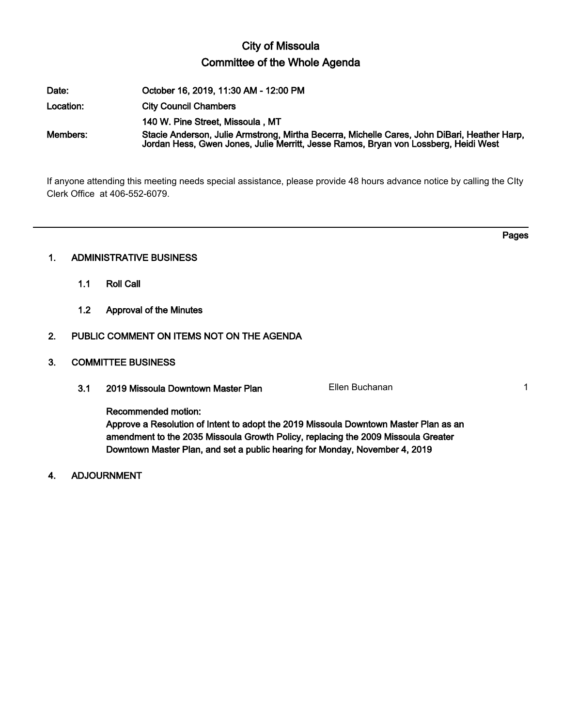# City of Missoula Committee of the Whole Agenda

| Date:     | October 16, 2019, 11:30 AM - 12:00 PM                                                                                                                                               |
|-----------|-------------------------------------------------------------------------------------------------------------------------------------------------------------------------------------|
| Location: | <b>City Council Chambers</b>                                                                                                                                                        |
|           | 140 W. Pine Street, Missoula, MT                                                                                                                                                    |
| Members:  | Stacie Anderson, Julie Armstrong, Mirtha Becerra, Michelle Cares, John DiBari, Heather Harp,<br>Jordan Hess, Gwen Jones, Julie Merritt, Jesse Ramos, Bryan von Lossberg, Heidi West |

If anyone attending this meeting needs special assistance, please provide 48 hours advance notice by calling the CIty Clerk Office at 406-552-6079.

Pages

# 1. ADMINISTRATIVE BUSINESS

- 1.1 Roll Call
- 1.2 Approval of the Minutes

# 2. PUBLIC COMMENT ON ITEMS NOT ON THE AGENDA

## 3. COMMITTEE BUSINESS

3.1 2019 Missoula Downtown Master Plan Ellen Buchanan Ellen Buchanan 1

Recommended motion:

Approve a Resolution of Intent to adopt the 2019 Missoula Downtown Master Plan as an amendment to the 2035 Missoula Growth Policy, replacing the 2009 Missoula Greater Downtown Master Plan, and set a public hearing for Monday, November 4, 2019

4. ADJOURNMENT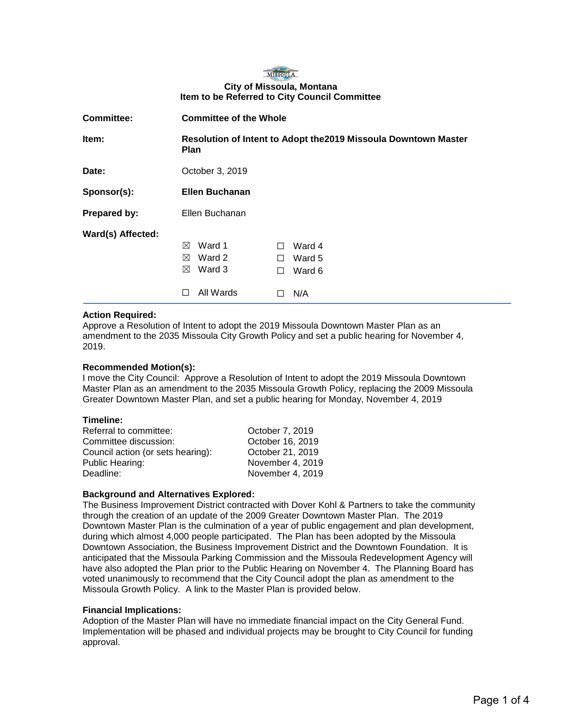

| <b>Committee:</b> | <b>Committee of the Whole</b>                                                  |                                                        |  |
|-------------------|--------------------------------------------------------------------------------|--------------------------------------------------------|--|
| Item:             | Resolution of Intent to Adopt the 2019 Missoula Downtown Master<br><b>Plan</b> |                                                        |  |
| Date:             | October 3, 2019                                                                |                                                        |  |
| Sponsor(s):       | <b>Ellen Buchanan</b>                                                          |                                                        |  |
| Prepared by:      | Ellen Buchanan                                                                 |                                                        |  |
| Ward(s) Affected: | Ward 1<br>⊠<br>Ward 2<br>⊠<br>Ward 3<br>⊠<br>All Wards                         | Ward 4<br>П<br>Ward 5<br>$\perp$<br>Ward 6<br>П<br>N/A |  |

#### **Action Required:**

Approve a Resolution of Intent to adopt the 2019 Missoula Downtown Master Plan as an amendment to the 2035 Missoula City Growth Policy and set a public hearing for November 4, 2019.

#### **Recommended Motion(s):**

I move the City Council: Approve a Resolution of Intent to adopt the 2019 Missoula Downtown Master Plan as an amendment to the 2035 Missoula Growth Policy, replacing the 2009 Missoula Greater Downtown Master Plan, and set a public hearing for Monday, November 4, 2019

#### **Timeline:**

| Referral to committee:            | October 7, 2019  |
|-----------------------------------|------------------|
| Committee discussion:             | October 16, 2019 |
| Council action (or sets hearing): | October 21, 2019 |
| Public Hearing:                   | November 4, 2019 |
| Deadline:                         | November 4, 2019 |
|                                   |                  |

### **Background and Alternatives Explored:**

The Business Improvement District contracted with Dover Kohl & Partners to take the community through the creation of an update of the 2009 Greater Downtown Master Plan. The 2019 Downtown Master Plan is the culmination of a year of public engagement and plan development, during which almost 4,000 people participated. The Plan has been adopted by the Missoula Downtown Association, the Business Improvement District and the Downtown Foundation. It is anticipated that the Missoula Parking Commission and the Missoula Redevelopment Agency will have also adopted the Plan prior to the Public Hearing on November 4. The Planning Board has voted unanimously to recommend that the City Council adopt the plan as amendment to the Missoula Growth Policy. A link to the Master Plan is provided below.

#### **Financial Implications:**

Adoption of the Master Plan will have no immediate financial impact on the City General Fund. Implementation will be phased and individual projects may be brought to City Council for funding approval.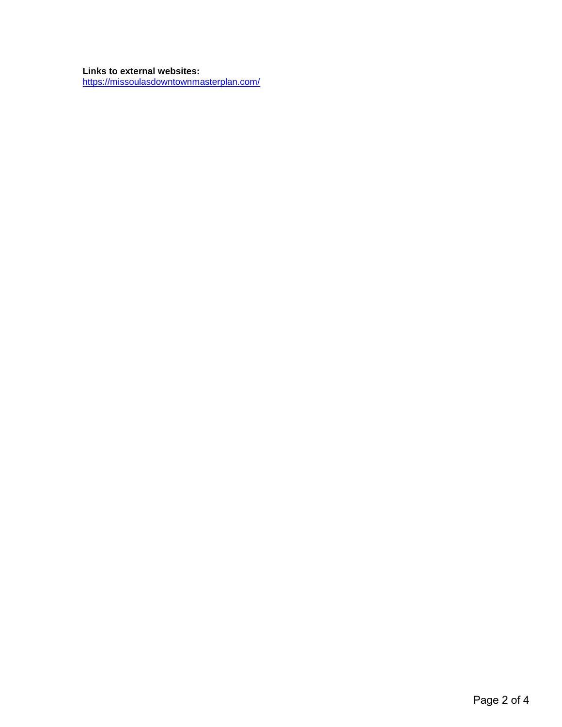### **Links to external websites:**

<https://missoulasdowntownmasterplan.com/>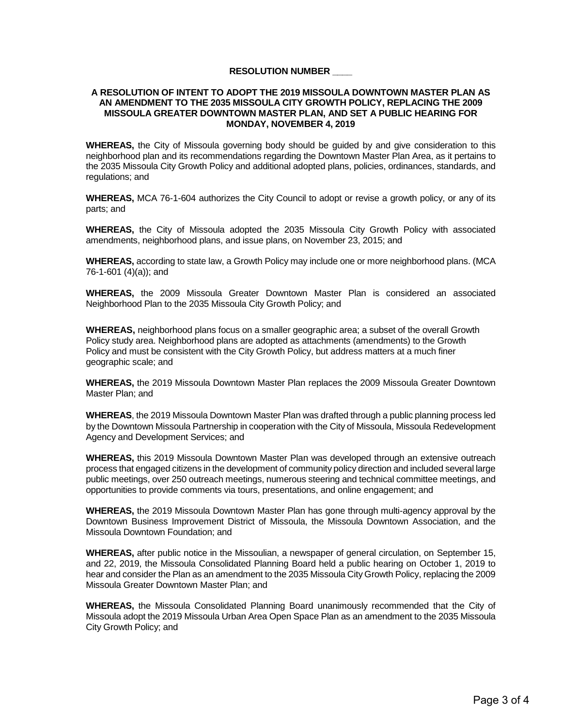### **RESOLUTION NUMBER \_\_\_\_**

#### **A RESOLUTION OF INTENT TO ADOPT THE 2019 MISSOULA DOWNTOWN MASTER PLAN AS AN AMENDMENT TO THE 2035 MISSOULA CITY GROWTH POLICY, REPLACING THE 2009 MISSOULA GREATER DOWNTOWN MASTER PLAN, AND SET A PUBLIC HEARING FOR MONDAY, NOVEMBER 4, 2019**

**WHEREAS,** the City of Missoula governing body should be guided by and give consideration to this neighborhood plan and its recommendations regarding the Downtown Master Plan Area, as it pertains to the 2035 Missoula City Growth Policy and additional adopted plans, policies, ordinances, standards, and regulations; and

**WHEREAS,** MCA 76-1-604 authorizes the City Council to adopt or revise a growth policy, or any of its parts; and

**WHEREAS,** the City of Missoula adopted the 2035 Missoula City Growth Policy with associated amendments, neighborhood plans, and issue plans, on November 23, 2015; and

**WHEREAS,** according to state law, a Growth Policy may include one or more neighborhood plans. (MCA 76-1-601 (4)(a)); and

**WHEREAS,** the 2009 Missoula Greater Downtown Master Plan is considered an associated Neighborhood Plan to the 2035 Missoula City Growth Policy; and

**WHEREAS,** neighborhood plans focus on a smaller geographic area; a subset of the overall Growth Policy study area. Neighborhood plans are adopted as attachments (amendments) to the Growth Policy and must be consistent with the City Growth Policy, but address matters at a much finer geographic scale; and

**WHEREAS,** the 2019 Missoula Downtown Master Plan replaces the 2009 Missoula Greater Downtown Master Plan; and

**WHEREAS**, the 2019 Missoula Downtown Master Plan was drafted through a public planning process led by the Downtown Missoula Partnership in cooperation with the City of Missoula, Missoula Redevelopment Agency and Development Services; and

**WHEREAS,** this 2019 Missoula Downtown Master Plan was developed through an extensive outreach process that engaged citizens in the development of community policy direction and included several large public meetings, over 250 outreach meetings, numerous steering and technical committee meetings, and opportunities to provide comments via tours, presentations, and online engagement; and

**WHEREAS,** the 2019 Missoula Downtown Master Plan has gone through multi-agency approval by the Downtown Business Improvement District of Missoula, the Missoula Downtown Association, and the Missoula Downtown Foundation; and

**WHEREAS,** after public notice in the Missoulian, a newspaper of general circulation, on September 15, and 22, 2019, the Missoula Consolidated Planning Board held a public hearing on October 1, 2019 to hear and consider the Plan as an amendment to the 2035 Missoula City Growth Policy, replacing the 2009 Missoula Greater Downtown Master Plan; and

**WHEREAS,** the Missoula Consolidated Planning Board unanimously recommended that the City of Missoula adopt the 2019 Missoula Urban Area Open Space Plan as an amendment to the 2035 Missoula City Growth Policy; and